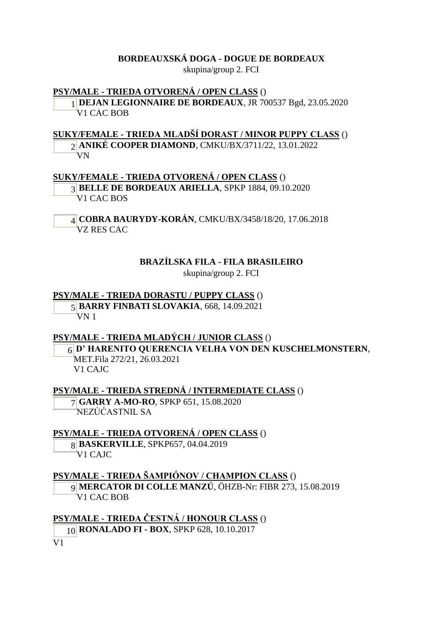#### **BORDEAUXSKÁ DOGA - DOGUE DE BORDEAUX**

skupina/group 2. FCI

#### **PSY/MALE - TRIEDA OTVORENÁ / OPEN CLASS** ()

1 **DEJAN LEGIONNAIRE DE BORDEAUX**, JR 700537 Bgd, 23.05.2020 V1 CAC BOB

**SUKY/FEMALE - TRIEDA MLADŠÍ DORAST / MINOR PUPPY CLASS** () 2 **ANIKÉ COOPER DIAMOND**, CMKU/BX/3711/22, 13.01.2022

VN

**SUKY/FEMALE - TRIEDA OTVORENÁ / OPEN CLASS** ()

3 **BELLE DE BORDEAUX ARIELLA**, SPKP 1884, 09.10.2020 V1 CAC BOS

4 **COBRA BAURYDY-KORÁN**, CMKU/BX/3458/18/20, 17.06.2018 VZ RES CAC

#### **BRAZÍLSKA FILA - FILA BRASILEIRO**

skupina/group 2. FCI

#### **PSY/MALE - TRIEDA DORASTU / PUPPY CLASS** ()

5 **BARRY FINBATI SLOVAKIA**, 668, 14.09.2021 VN 1

#### **PSY/MALE - TRIEDA MLADÝCH / JUNIOR CLASS** ()

6 **D' HARENITO QUERENCIA VELHA VON DEN KUSCHELMONSTERN**, MET.Fila 272/21, 26.03.2021 V1 CAJC

**PSY/MALE - TRIEDA STREDNÁ / INTERMEDIATE CLASS** () 7 **GARRY A-MO-RO**, SPKP 651, 15.08.2020

NEZÚĆASTNIL SA

#### **PSY/MALE - TRIEDA OTVORENÁ / OPEN CLASS** ()

8 **BASKERVILLE**, SPKP657, 04.04.2019  $\overline{V}$ 1 CAIC

#### **PSY/MALE - TRIEDA ŠAMPIÓNOV / CHAMPION CLASS** ()

9 **MERCATOR DI COLLE MANZÚ**, ÖHZB-Nr: FIBR 273, 15.08.2019 V1 CAC BOB

**PSY/MALE - TRIEDA ČESTNÁ / HONOUR CLASS** () 10 **RONALADO FI - BOX**, SPKP 628, 10.10.2017 $\overline{V_1}$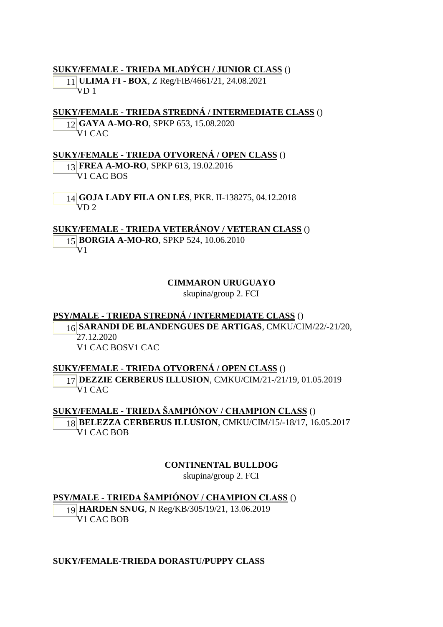#### **SUKY/FEMALE - TRIEDA MLADÝCH / JUNIOR CLASS** ()

11 **ULIMA FI - BOX**, Z Reg/FIB/4661/21, 24.08.2021 VD 1

#### **SUKY/FEMALE - TRIEDA STREDNÁ / INTERMEDIATE CLASS** ()

12 **GAYA A-MO-RO**, SPKP 653, 15.08.2020 V1 CAC

#### **SUKY/FEMALE - TRIEDA OTVORENÁ / OPEN CLASS** ()

13 **FREA A-MO-RO**, SPKP 613, 19.02.2016 V1 CAC BOS

14 **GOJA LADY FILA ON LES**, PKR. II-138275, 04.12.2018  $VD<sub>2</sub>$ 

**SUKY/FEMALE - TRIEDA VETERÁNOV / VETERAN CLASS** () 15 **BORGIA A-MO-RO**, SPKP 524, 10.06.2010 V1

#### **CIMMARON URUGUAYO**

skupina/group 2. FCI

#### **PSY/MALE - TRIEDA STREDNÁ / INTERMEDIATE CLASS** () 16 **SARANDI DE BLANDENGUES DE ARTIGAS**, CMKU/CIM/22/-21/20, 27.12.2020

V1 CAC BOSV1 CAC

#### **SUKY/FEMALE - TRIEDA OTVORENÁ / OPEN CLASS** ()

17 **DEZZIE CERBERUS ILLUSION**, CMKU/CIM/21-/21/19, 01.05.2019 V1 CAC

**SUKY/FEMALE - TRIEDA ŠAMPIÓNOV / CHAMPION CLASS** () 18 **BELEZZA CERBERUS ILLUSION**, CMKU/CIM/15/-18/17, 16.05.2017 V1 CAC BOB

#### **CONTINENTAL BULLDOG**

skupina/group 2. FCI

#### **PSY/MALE - TRIEDA ŠAMPIÓNOV / CHAMPION CLASS** ()

19 **HARDEN SNUG**, N Reg/KB/305/19/21, 13.06.2019 V1 CAC BOB

#### **SUKY/FEMALE-TRIEDA DORASTU/PUPPY CLASS**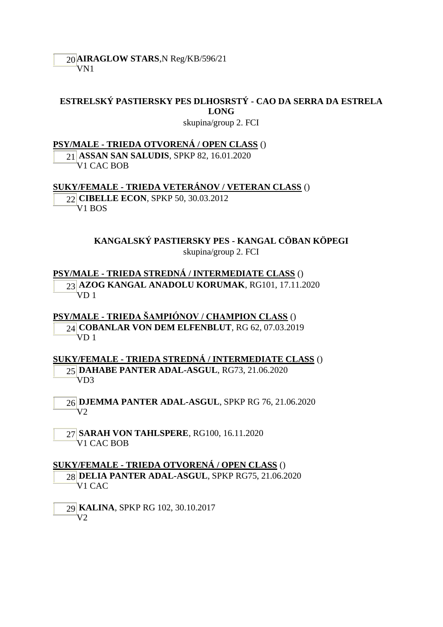## **ESTRELSKÝ PASTIERSKY PES DLHOSRSTÝ - CAO DA SERRA DA ESTRELA LONG**

skupina/group 2. FCI

**PSY/MALE - TRIEDA OTVORENÁ / OPEN CLASS** ()

21 **ASSAN SAN SALUDIS**, SPKP 82, 16.01.2020 V1 CAC BOB

#### **SUKY/FEMALE - TRIEDA VETERÁNOV / VETERAN CLASS** ()

22 **CIBELLE ECON**, SPKP 50, 30.03.2012 V1 BOS

> **KANGALSKÝ PASTIERSKY PES - KANGAL CÖBAN KÖPEGI** skupina/group 2. FCI

**PSY/MALE - TRIEDA STREDNÁ / INTERMEDIATE CLASS** () 23 **AZOG KANGAL ANADOLU KORUMAK**, RG101, 17.11.2020  $\sqrt[4]{D}1$ 

**PSY/MALE - TRIEDA ŠAMPIÓNOV / CHAMPION CLASS** () 24 **COBANLAR VON DEM ELFENBLUT**, RG 62, 07.03.2019 VD 1

**SUKY/FEMALE - TRIEDA STREDNÁ / INTERMEDIATE CLASS** () 25 **DAHABE PANTER ADAL-ASGUL**, RG73, 21.06.2020 VD3

26 **DJEMMA PANTER ADAL-ASGUL**, SPKP RG 76, 21.06.2020  $V2$ 

27 **SARAH VON TAHLSPERE**, RG100, 16.11.2020 V1 CAC BOB

**SUKY/FEMALE - TRIEDA OTVORENÁ / OPEN CLASS** () 28 **DELIA PANTER ADAL-ASGUL**, SPKP RG75, 21.06.2020 V1 CAC

29 **KALINA**, SPKP RG 102, 30.10.2017  $V<sub>2</sub>$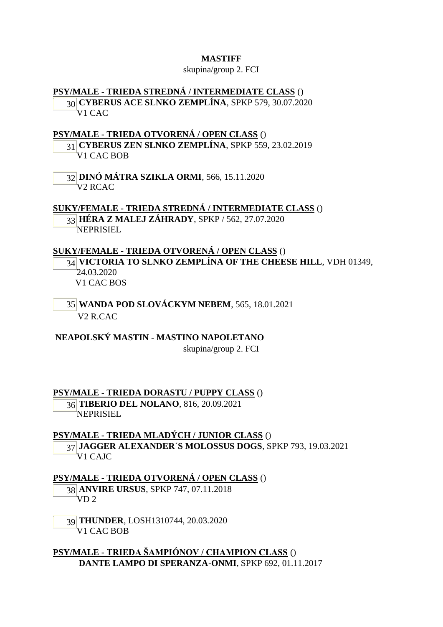#### **MASTIFF**

#### skupina/group 2. FCI

#### **PSY/MALE - TRIEDA STREDNÁ / INTERMEDIATE CLASS** ()

30 **CYBERUS ACE SLNKO ZEMPLÍNA**, SPKP 579, 30.07.2020 V<sub>1</sub> CAC

#### **PSY/MALE - TRIEDA OTVORENÁ / OPEN CLASS** ()

31 **CYBERUS ZEN SLNKO ZEMPLÍNA**, SPKP 559, 23.02.2019 V1 CAC BOB

32 **DINÓ MÁTRA SZIKLA ORMI**, 566, 15.11.2020 V2 RCAC

# **SUKY/FEMALE - TRIEDA STREDNÁ / INTERMEDIATE CLASS** () 33 **HÉRA Z MALEJ ZÁHRADY**, SPKP / 562, 27.07.2020

NEPRISIEL

# **SUKY/FEMALE - TRIEDA OTVORENÁ / OPEN CLASS** () 34 **VICTORIA TO SLNKO ZEMPLÍNA OF THE CHEESE HILL**, VDH 01349, 24.03.2020

V1 CAC BOS

35 **WANDA POD SLOVÁCKYM NEBEM**, 565, 18.01.2021 V2 R.CAC

**NEAPOLSKÝ MASTIN - MASTINO NAPOLETANO** skupina/group 2. FCI

**PSY/MALE - TRIEDA DORASTU / PUPPY CLASS** () 36 **TIBERIO DEL NOLANO**, 816, 20.09.2021 NEPRISIEL

**PSY/MALE - TRIEDA MLADÝCH / JUNIOR CLASS** () 37 **JAGGER ALEXANDER´S MOLOSSUS DOGS**, SPKP 793, 19.03.2021 V1 CAJC

# **PSY/MALE - TRIEDA OTVORENÁ / OPEN CLASS** ()

38 **ANVIRE URSUS**, SPKP 747, 07.11.2018 VD 2

39 **THUNDER**, LOSH1310744, 20.03.2020 V1 CAC BOB

**PSY/MALE - TRIEDA ŠAMPIÓNOV / CHAMPION CLASS** () **DANTE LAMPO DI SPERANZA-ONMI**, SPKP 692, 01.11.2017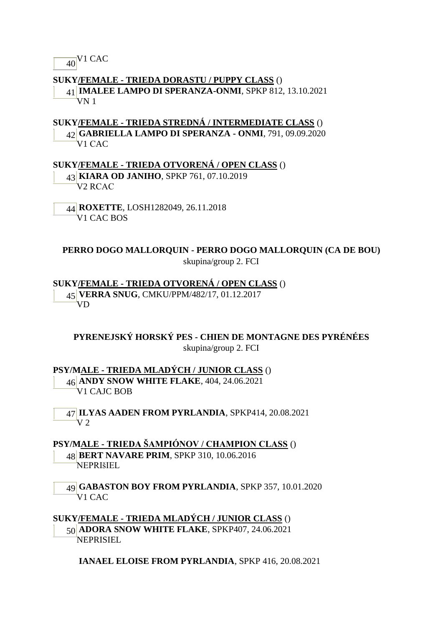$\frac{1}{40}$ V<sub>1</sub> CAC

#### **SUKY/FEMALE - TRIEDA DORASTU / PUPPY CLASS** ()

41 **IMALEE LAMPO DI SPERANZA-ONMI**, SPKP 812, 13.10.2021 VN 1

## **SUKY/FEMALE - TRIEDA STREDNÁ / INTERMEDIATE CLASS** ()

42 **GABRIELLA LAMPO DI SPERANZA - ONMI**, 791, 09.09.2020 V1 CAC

#### **SUKY/FEMALE - TRIEDA OTVORENÁ / OPEN CLASS** ()

43 **KIARA OD JANIHO**, SPKP 761, 07.10.2019 V2 RCAC

44 **ROXETTE**, LOSH1282049, 26.11.2018 V1 CAC BOS

#### **PERRO DOGO MALLORQUIN - PERRO DOGO MALLORQUIN (CA DE BOU)** skupina/group 2. FCI

**SUKY/FEMALE - TRIEDA OTVORENÁ / OPEN CLASS** ()

45 **VERRA SNUG**, CMKU/PPM/482/17, 01.12.2017 VD

**PYRENEJSKÝ HORSKÝ PES - CHIEN DE MONTAGNE DES PYRÉNÉES** skupina/group 2. FCI

#### **PSY/MALE - TRIEDA MLADÝCH / JUNIOR CLASS** ()

46 **ANDY SNOW WHITE FLAKE**, 404, 24.06.2021 V1 CAJC BOB

47 **ILYAS AADEN FROM PYRLANDIA**, SPKP414, 20.08.2021  $V<sub>2</sub>$ 

**PSY/MALE - TRIEDA ŠAMPIÓNOV / CHAMPION CLASS** () 48 **BERT NAVARE PRIM**, SPKP 310, 10.06.2016 NEPRIšIEL

49 **GABASTON BOY FROM PYRLANDIA**, SPKP 357, 10.01.2020 V1 CAC

#### **SUKY/FEMALE - TRIEDA MLADÝCH / JUNIOR CLASS** ()

50 **ADORA SNOW WHITE FLAKE**, SPKP407, 24.06.2021 NEPRISIEL

**IANAEL ELOISE FROM PYRLANDIA**, SPKP 416, 20.08.2021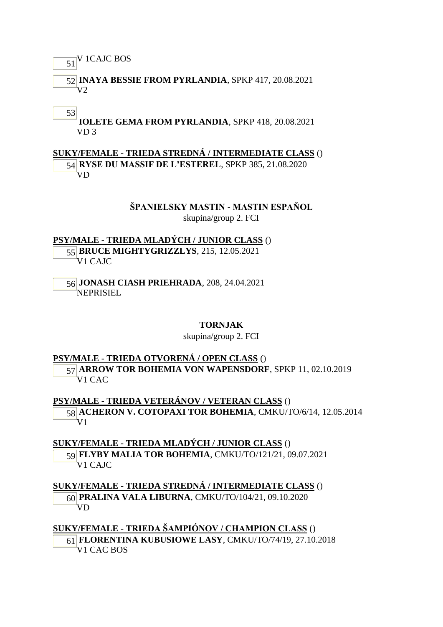# $\overline{51}$ <sup>V</sup> 1CAJC BOS

52 **INAYA BESSIE FROM PYRLANDIA**, SPKP 417, 20.08.2021  $V2$ 

#### 53

**IOLETE GEMA FROM PYRLANDIA**, SPKP 418, 20.08.2021 VD 3

## **SUKY/FEMALE - TRIEDA STREDNÁ / INTERMEDIATE CLASS** ()

54 **RYSE DU MASSIF DE L'ESTEREL**, SPKP 385, 21.08.2020 VD

#### **ŠPANIELSKY MASTIN - MASTIN ESPAŇOL**

skupina/group 2. FCI

**PSY/MALE - TRIEDA MLADÝCH / JUNIOR CLASS** () 55 **BRUCE MIGHTYGRIZZLYS**, 215, 12.05.2021 V1 CAJC

56 **JONASH CIASH PRIEHRADA**, 208, 24.04.2021 NEPRISIEL

#### **TORNJAK**

#### skupina/group 2. FCI

#### **PSY/MALE - TRIEDA OTVORENÁ / OPEN CLASS** ()

57 **ARROW TOR BOHEMIA VON WAPENSDORF**, SPKP 11, 02.10.2019 V1 CAC

**PSY/MALE - TRIEDA VETERÁNOV / VETERAN CLASS** () 58 **ACHERON V. COTOPAXI TOR BOHEMIA**, CMKU/TO/6/14, 12.05.2014  $\rm V1$ 

**SUKY/FEMALE - TRIEDA MLADÝCH / JUNIOR CLASS** () 59 **FLYBY MALIA TOR BOHEMIA**, CMKU/TO/121/21, 09.07.2021 V1 CAJC

**SUKY/FEMALE - TRIEDA STREDNÁ / INTERMEDIATE CLASS** () 60 **PRALINA VALA LIBURNA**, CMKU/TO/104/21, 09.10.2020 VD

# **SUKY/FEMALE - TRIEDA ŠAMPIÓNOV / CHAMPION CLASS** ()

61 **FLORENTINA KUBUSIOWE LASY**, CMKU/TO/74/19, 27.10.2018 V1 CAC BOS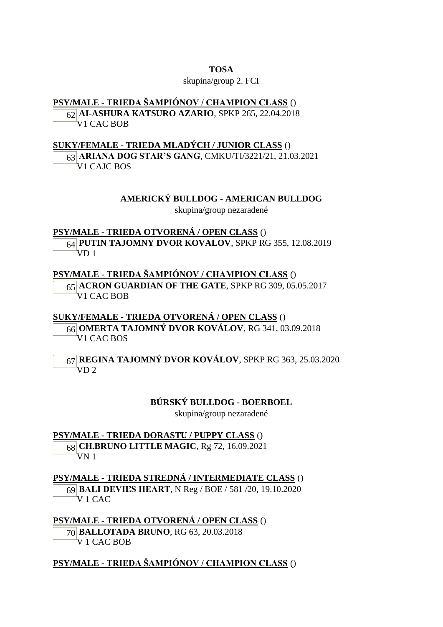#### **TOSA**

#### skupina/group 2. FCI

#### **PSY/MALE - TRIEDA ŠAMPIÓNOV / CHAMPION CLASS** ()

62 **AI-ASHURA KATSURO AZARIO**, SPKP 265, 22.04.2018 V1 CAC BOB

#### **SUKY/FEMALE - TRIEDA MLADÝCH / JUNIOR CLASS** ()

63 **ARIANA DOG STAR'S GANG**, CMKU/TI/3221/21, 21.03.2021 V1 CAJC BOS

> **AMERICKÝ BULLDOG - AMERICAN BULLDOG** skupina/group nezaradené

**PSY/MALE - TRIEDA OTVORENÁ / OPEN CLASS** () 64 **PUTIN TAJOMNY DVOR KOVALOV**, SPKP RG 355, 12.08.2019 VD 1

#### **PSY/MALE - TRIEDA ŠAMPIÓNOV / CHAMPION CLASS** ()

65 **ACRON GUARDIAN OF THE GATE**, SPKP RG 309, 05.05.2017 V1 CAC BOB

#### **SUKY/FEMALE - TRIEDA OTVORENÁ / OPEN CLASS** () 66 **OMERTA TAJOMNÝ DVOR KOVÁLOV**, RG 341, 03.09.2018 V1 CAC BOS

67 **REGINA TAJOMNÝ DVOR KOVÁLOV**, SPKP RG 363, 25.03.2020  $VD<sub>2</sub>$ 

#### **BÚRSKÝ BULLDOG - BOERBOEL**

skupina/group nezaradené

**PSY/MALE - TRIEDA DORASTU / PUPPY CLASS** () 68 **CH.BRUNO LITTLE MAGIC**, Rg 72, 16.09.2021 VN 1

**PSY/MALE - TRIEDA STREDNÁ / INTERMEDIATE CLASS** () 69 **BALI DEVIĽS HEART**, N Reg / BOE / 581 /20, 19.10.2020 V 1 CAC

**PSY/MALE - TRIEDA OTVORENÁ / OPEN CLASS** () 70 **BALLOTADA BRUNO**, RG 63, 20.03.2018 V 1 CAC BOB

## **PSY/MALE - TRIEDA ŠAMPIÓNOV / CHAMPION CLASS** ()